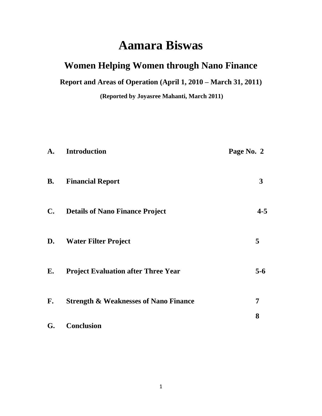# **Aamara Biswas**

# **Women Helping Women through Nano Finance**

**Report and Areas of Operation (April 1, 2010 – March 31, 2011)**

**(Reported by Joyasree Mahanti, March 2011)**

| A.             | <b>Introduction</b>                              | Page No. 2   |
|----------------|--------------------------------------------------|--------------|
| <b>B.</b>      | <b>Financial Report</b>                          | $\mathbf{3}$ |
| $\mathbf{C}$ . | <b>Details of Nano Finance Project</b>           | $4 - 5$      |
| D.             | <b>Water Filter Project</b>                      | 5            |
| E.             | <b>Project Evaluation after Three Year</b>       | $5-6$        |
| F.             | <b>Strength &amp; Weaknesses of Nano Finance</b> | 7            |
| G.             | <b>Conclusion</b>                                | 8            |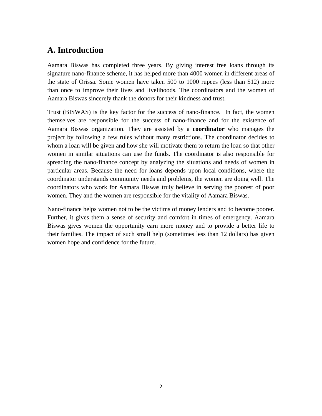## **A. Introduction**

Aamara Biswas has completed three years. By giving interest free loans through its signature nano-finance scheme, it has helped more than 4000 women in different areas of the state of Orissa. Some women have taken 500 to 1000 rupees (less than \$12) more than once to improve their lives and livelihoods. The coordinators and the women of Aamara Biswas sincerely thank the donors for their kindness and trust.

Trust (BISWAS) is the key factor for the success of nano-finance. In fact, the women themselves are responsible for the success of nano-finance and for the existence of Aamara Biswas organization. They are assisted by a **coordinator** who manages the project by following a few rules without many restrictions. The coordinator decides to whom a loan will be given and how she will motivate them to return the loan so that other women in similar situations can use the funds. The coordinator is also responsible for spreading the nano-finance concept by analyzing the situations and needs of women in particular areas. Because the need for loans depends upon local conditions, where the coordinator understands community needs and problems, the women are doing well. The coordinators who work for Aamara Biswas truly believe in serving the poorest of poor women. They and the women are responsible for the vitality of Aamara Biswas.

Nano-finance helps women not to be the victims of money lenders and to become poorer. Further, it gives them a sense of security and comfort in times of emergency. Aamara Biswas gives women the opportunity earn more money and to provide a better life to their families. The impact of such small help (sometimes less than 12 dollars) has given women hope and confidence for the future.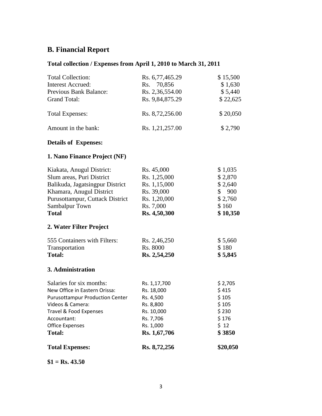# **B. Financial Report**

### **Total collection / Expenses from April 1, 2010 to March 31, 2011**

| <b>Total Expenses:</b>                 | Rs. 8,72,256            | \$20,050              |
|----------------------------------------|-------------------------|-----------------------|
| <b>Total:</b>                          | Rs. 1,67,706            | \$3850                |
| <b>Office Expenses</b>                 | Rs. 1,000               | \$12                  |
| Travel & Food Expenses<br>Accountant:  | Rs. 10,000<br>Rs. 7,706 | \$230<br>\$176        |
| Videos & Camera:                       | Rs. 8,800               | \$105                 |
| <b>Purusottampur Production Center</b> | Rs. 4,500               | \$105                 |
| New Office in Eastern Orissa:          | Rs. 18,000              | \$415                 |
| Salaries for six months:               | Rs. 1,17,700            | \$2,705               |
| 3. Administration                      |                         |                       |
| <b>Total:</b>                          | Rs. 2,54,250            | \$5,845               |
| Transportation                         | Rs. 8000                | \$180                 |
| 555 Containers with Filters:           | Rs. 2,46,250            | \$5,660               |
| 2. Water Filter Project                |                         |                       |
| <b>Total</b>                           | Rs. 4,50,300            | \$10,350              |
| Sambalpur Town                         | Rs. 7,000               | \$160                 |
| Purusottampur, Cuttack District        | Rs. 1,20,000            | \$2,760               |
| Khamara, Anugul District               | Rs. 39,000              | 900<br>$\mathbb{S}^-$ |
| Balikuda, Jagatsingpur District        | Rs. 1,15,000            | \$2,640               |
| Slum areas, Puri District              | Rs. 1,25,000            | \$2,870               |
| Kiakata, Anugul District:              | Rs. 45,000              | \$1,035               |
| 1. Nano Finance Project (NF)           |                         |                       |
| <b>Details of Expenses:</b>            |                         |                       |
| Amount in the bank:                    | Rs. 1,21,257.00         | \$2,790               |
| <b>Total Expenses:</b>                 | Rs. 8,72,256.00         | \$20,050              |
| <b>Grand Total:</b>                    | Rs. 9,84,875.29         | \$22,625              |
| Previous Bank Balance:                 | Rs. 2,36,554.00         | \$5,440               |
| <b>Interest Accrued:</b>               | Rs. 70,856              | \$1,630               |
| <b>Total Collection:</b>               | Rs. 6,77,465.29         | \$15,500              |

**\$1 = Rs. 43.50**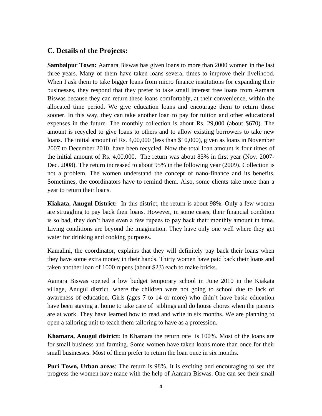#### **C. Details of the Projects:**

**Sambalpur Town:** Aamara Biswas has given loans to more than 2000 women in the last three years. Many of them have taken loans several times to improve their livelihood. When I ask them to take bigger loans from micro finance institutions for expanding their businesses, they respond that they prefer to take small interest free loans from Aamara Biswas because they can return these loans comfortably, at their convenience, within the allocated time period. We give education loans and encourage them to return those sooner. In this way, they can take another loan to pay for tuition and other educational expenses in the future. The monthly collection is about Rs. 29,000 (about \$670). The amount is recycled to give loans to others and to allow existing borrowers to take new loans. The initial amount of Rs. 4,00,000 (less than \$10,000), given as loans in November 2007 to December 2010, have been recycled. Now the total loan amount is four times of the initial amount of Rs. 4,00,000. The return was about 85% in first year (Nov. 2007- Dec. 2008). The return increased to about 95% in the following year (2009). Collection is not a problem. The women understand the concept of nano-finance and its benefits. Sometimes, the coordinators have to remind them. Also, some clients take more than a year to return their loans.

**Kiakata, Anugul District:** In this district, the return is about 98%. Only a few women are struggling to pay back their loans. However, in some cases, their financial condition is so bad, they don't have even a few rupees to pay back their monthly amount in time. Living conditions are beyond the imagination. They have only one well where they get water for drinking and cooking purposes.

Kamalini, the coordinator, explains that they will definitely pay back their loans when they have some extra money in their hands. Thirty women have paid back their loans and taken another loan of 1000 rupees (about \$23) each to make bricks.

Aamara Biswas opened a low budget temporary school in June 2010 in the Kiakata village, Anugul district, where the children were not going to school due to lack of awareness of education. Girls (ages 7 to 14 or more) who didn't have basic education have been staying at home to take care of siblings and do house chores when the parents are at work. They have learned how to read and write in six months. We are planning to open a tailoring unit to teach them tailoring to have as a profession.

**Khamara, Anugul district:** In Khamara the return rate is 100%. Most of the loans are for small business and farming. Some women have taken loans more than once for their small businesses. Most of them prefer to return the loan once in six months.

**Puri Town, Urban areas**: The return is 98%. It is exciting and encouraging to see the progress the women have made with the help of Aamara Biswas. One can see their small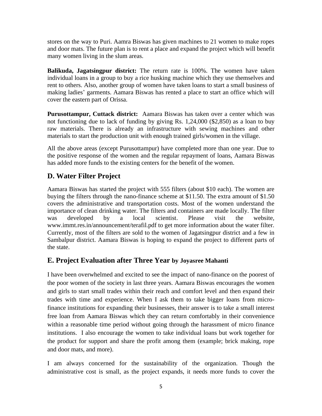stores on the way to Puri. Aamra Biswas has given machines to 21 women to make ropes and door mats. The future plan is to rent a place and expand the project which will benefit many women living in the slum areas.

**Balikuda, Jagatsingpur district:** The return rate is 100%. The women have taken individual loans in a group to buy a rice husking machine which they use themselves and rent to others. Also, another group of women have taken loans to start a small business of making ladies' garments. Aamara Biswas has rented a place to start an office which will cover the eastern part of Orissa.

**Purusottampur, Cuttack district:** Aamara Biswas has taken over a center which was not functioning due to lack of funding by giving Rs. 1,24,000 (\$2,850) as a loan to buy raw materials. There is already an infrastructure with sewing machines and other materials to start the production unit with enough trained girls/women in the village.

All the above areas (except Purusottampur) have completed more than one year. Due to the positive response of the women and the regular repayment of loans, Aamara Biswas has added more funds to the existing centers for the benefit of the women.

### **D. Water Filter Project**

Aamara Biswas has started the project with 555 filters (about \$10 each). The women are buying the filters through the nano-finance scheme at \$11.50. The extra amount of \$1.50 covers the administrative and transportation costs. Most of the women understand the importance of clean drinking water. The filters and containers are made locally. The filter was developed by a local scientist. Please visit the website, www.immt.res.in/announcement/terafil.pdf to get more information about the water filter. Currently, most of the filters are sold to the women of Jagatsingpur district and a few in Sambalpur district. Aamara Biswas is hoping to expand the project to different parts of the state.

#### **E. Project Evaluation after Three Year by Joyasree Mahanti**

I have been overwhelmed and excited to see the impact of nano-finance on the poorest of the poor women of the society in last three years. Aamara Biswas encourages the women and girls to start small trades within their reach and comfort level and then expand their trades with time and experience. When I ask them to take bigger loans from microfinance institutions for expanding their businesses, their answer is to take a small interest free loan from Aamara Biswas which they can return comfortably in their convenience within a reasonable time period without going through the harassment of micro finance institutions. I also encourage the women to take individual loans but work together for the product for support and share the profit among them (example; brick making, rope and door mats, and more).

I am always concerned for the sustainability of the organization. Though the administrative cost is small, as the project expands, it needs more funds to cover the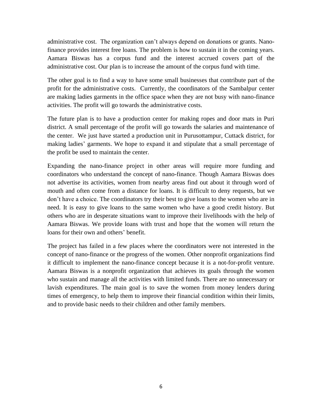administrative cost. The organization can't always depend on donations or grants. Nanofinance provides interest free loans. The problem is how to sustain it in the coming years. Aamara Biswas has a corpus fund and the interest accrued covers part of the administrative cost. Our plan is to increase the amount of the corpus fund with time.

The other goal is to find a way to have some small businesses that contribute part of the profit for the administrative costs. Currently, the coordinators of the Sambalpur center are making ladies garments in the office space when they are not busy with nano-finance activities. The profit will go towards the administrative costs.

The future plan is to have a production center for making ropes and door mats in Puri district. A small percentage of the profit will go towards the salaries and maintenance of the center. We just have started a production unit in Purusottampur, Cuttack district, for making ladies' garments. We hope to expand it and stipulate that a small percentage of the profit be used to maintain the center.

Expanding the nano-finance project in other areas will require more funding and coordinators who understand the concept of nano-finance. Though Aamara Biswas does not advertise its activities, women from nearby areas find out about it through word of mouth and often come from a distance for loans. It is difficult to deny requests, but we don't have a choice. The coordinators try their best to give loans to the women who are in need. It is easy to give loans to the same women who have a good credit history. But others who are in desperate situations want to improve their livelihoods with the help of Aamara Biswas. We provide loans with trust and hope that the women will return the loans for their own and others' benefit.

The project has failed in a few places where the coordinators were not interested in the concept of nano-finance or the progress of the women. Other nonprofit organizations find it difficult to implement the nano-finance concept because it is a not-for-profit venture. Aamara Biswas is a nonprofit organization that achieves its goals through the women who sustain and manage all the activities with limited funds. There are no unnecessary or lavish expenditures. The main goal is to save the women from money lenders during times of emergency, to help them to improve their financial condition within their limits, and to provide basic needs to their children and other family members.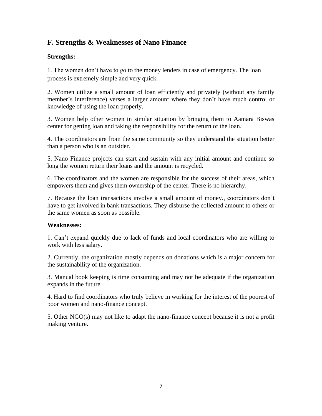### **F. Strengths & Weaknesses of Nano Finance**

#### **Strengths:**

1. The women don't have to go to the money lenders in case of emergency. The loan process is extremely simple and very quick.

2. Women utilize a small amount of loan efficiently and privately (without any family member's interference) verses a larger amount where they don't have much control or knowledge of using the loan properly.

3. Women help other women in similar situation by bringing them to Aamara Biswas center for getting loan and taking the responsibility for the return of the loan.

4. The coordinators are from the same community so they understand the situation better than a person who is an outsider.

5. Nano Finance projects can start and sustain with any initial amount and continue so long the women return their loans and the amount is recycled.

6. The coordinators and the women are responsible for the success of their areas, which empowers them and gives them ownership of the center. There is no hierarchy.

7. Because the loan transactions involve a small amount of money., coordinators don't have to get involved in bank transactions. They disburse the collected amount to others or the same women as soon as possible.

#### **Weaknesses:**

1. Can't expand quickly due to lack of funds and local coordinators who are willing to work with less salary.

2. Currently, the organization mostly depends on donations which is a major concern for the sustainability of the organization.

3. Manual book keeping is time consuming and may not be adequate if the organization expands in the future.

4. Hard to find coordinators who truly believe in working for the interest of the poorest of poor women and nano-finance concept.

5. Other NGO(s) may not like to adapt the nano-finance concept because it is not a profit making venture.